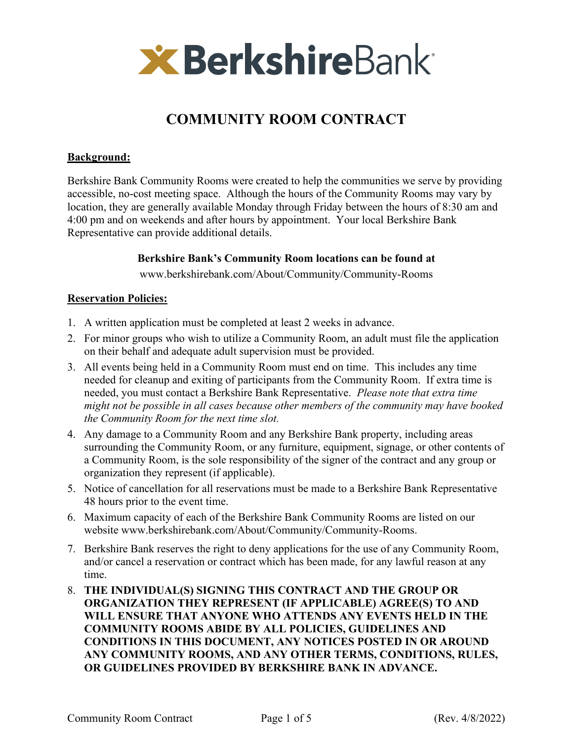

# **COMMUNITY ROOM CONTRACT**

## **Background:**

Berkshire Bank Community Rooms were created to help the communities we serve by providing accessible, no-cost meeting space. Although the hours of the Community Rooms may vary by location, they are generally available Monday through Friday between the hours of 8:30 am and 4:00 pm and on weekends and after hours by appointment. Your local Berkshire Bank Representative can provide additional details.

## **Berkshire Bank's Community Room locations can be found at**

www.berkshirebank.com/About/Community/Community-Rooms

### **Reservation Policies:**

- 1. A written application must be completed at least 2 weeks in advance.
- 2. For minor groups who wish to utilize a Community Room, an adult must file the application on their behalf and adequate adult supervision must be provided.
- 3. All events being held in a Community Room must end on time. This includes any time needed for cleanup and exiting of participants from the Community Room. If extra time is needed, you must contact a Berkshire Bank Representative. *Please note that extra time might not be possible in all cases because other members of the community may have booked the Community Room for the next time slot.*
- 4. Any damage to a Community Room and any Berkshire Bank property, including areas surrounding the Community Room, or any furniture, equipment, signage, or other contents of a Community Room, is the sole responsibility of the signer of the contract and any group or organization they represent (if applicable).
- 5. Notice of cancellation for all reservations must be made to a Berkshire Bank Representative 48 hours prior to the event time.
- 6. Maximum capacity of each of the Berkshire Bank Community Rooms are listed on our website www.berkshirebank.com/About/Community/Community-Rooms.
- 7. Berkshire Bank reserves the right to deny applications for the use of any Community Room, and/or cancel a reservation or contract which has been made, for any lawful reason at any time.
- 8. **THE INDIVIDUAL(S) SIGNING THIS CONTRACT AND THE GROUP OR ORGANIZATION THEY REPRESENT (IF APPLICABLE) AGREE(S) TO AND WILL ENSURE THAT ANYONE WHO ATTENDS ANY EVENTS HELD IN THE COMMUNITY ROOMS ABIDE BY ALL POLICIES, GUIDELINES AND CONDITIONS IN THIS DOCUMENT, ANY NOTICES POSTED IN OR AROUND ANY COMMUNITY ROOMS, AND ANY OTHER TERMS, CONDITIONS, RULES, OR GUIDELINES PROVIDED BY BERKSHIRE BANK IN ADVANCE.**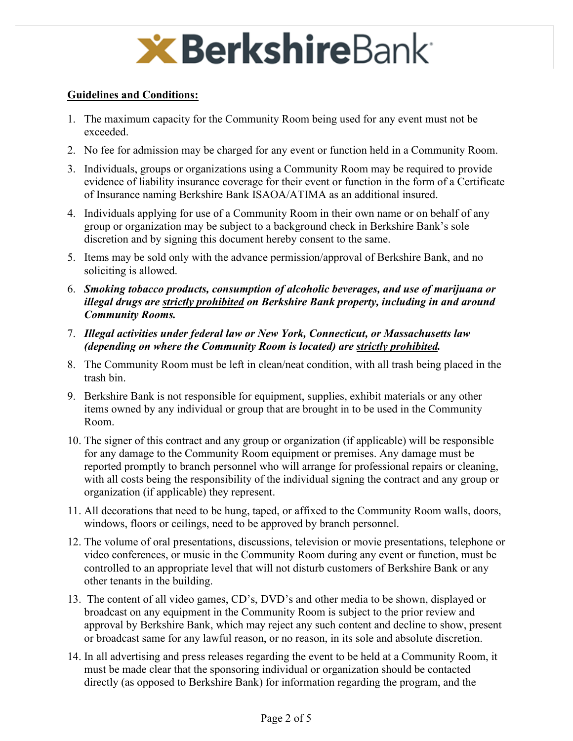

## **Guidelines and Conditions:**

- 1. The maximum capacity for the Community Room being used for any event must not be exceeded.
- 2. No fee for admission may be charged for any event or function held in a Community Room.
- 3. Individuals, groups or organizations using a Community Room may be required to provide evidence of liability insurance coverage for their event or function in the form of a Certificate of Insurance naming Berkshire Bank ISAOA/ATIMA as an additional insured.
- 4. Individuals applying for use of a Community Room in their own name or on behalf of any group or organization may be subject to a background check in Berkshire Bank's sole discretion and by signing this document hereby consent to the same.
- 5. Items may be sold only with the advance permission/approval of Berkshire Bank, and no soliciting is allowed.
- 6. *Smoking tobacco products, consumption of alcoholic beverages, and use of marijuana or illegal drugs are strictly prohibited on Berkshire Bank property, including in and around Community Rooms.*
- 7. *Illegal activities under federal law or New York, Connecticut, or Massachusetts law (depending on where the Community Room is located) are strictly prohibited.*
- 8. The Community Room must be left in clean/neat condition, with all trash being placed in the trash bin.
- 9. Berkshire Bank is not responsible for equipment, supplies, exhibit materials or any other items owned by any individual or group that are brought in to be used in the Community Room.
- 10. The signer of this contract and any group or organization (if applicable) will be responsible for any damage to the Community Room equipment or premises. Any damage must be reported promptly to branch personnel who will arrange for professional repairs or cleaning, with all costs being the responsibility of the individual signing the contract and any group or organization (if applicable) they represent.
- 11. All decorations that need to be hung, taped, or affixed to the Community Room walls, doors, windows, floors or ceilings, need to be approved by branch personnel.
- 12. The volume of oral presentations, discussions, television or movie presentations, telephone or video conferences, or music in the Community Room during any event or function, must be controlled to an appropriate level that will not disturb customers of Berkshire Bank or any other tenants in the building.
- 13. The content of all video games, CD's, DVD's and other media to be shown, displayed or broadcast on any equipment in the Community Room is subject to the prior review and approval by Berkshire Bank, which may reject any such content and decline to show, present or broadcast same for any lawful reason, or no reason, in its sole and absolute discretion.
- 14. In all advertising and press releases regarding the event to be held at a Community Room, it must be made clear that the sponsoring individual or organization should be contacted directly (as opposed to Berkshire Bank) for information regarding the program, and the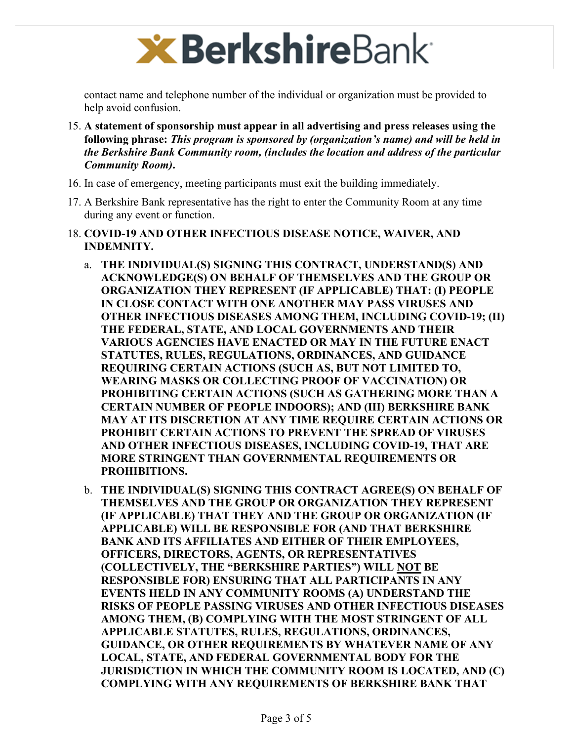

contact name and telephone number of the individual or organization must be provided to help avoid confusion.

- 15. **A statement of sponsorship must appear in all advertising and press releases using the following phrase:** *This program is sponsored by (organization's name) and will be held in the Berkshire Bank Community room, (includes the location and address of the particular Community Room)***.**
- 16. In case of emergency, meeting participants must exit the building immediately.
- 17. A Berkshire Bank representative has the right to enter the Community Room at any time during any event or function.
- 18. **COVID-19 AND OTHER INFECTIOUS DISEASE NOTICE, WAIVER, AND INDEMNITY.**
	- a. **THE INDIVIDUAL(S) SIGNING THIS CONTRACT, UNDERSTAND(S) AND ACKNOWLEDGE(S) ON BEHALF OF THEMSELVES AND THE GROUP OR ORGANIZATION THEY REPRESENT (IF APPLICABLE) THAT: (I) PEOPLE IN CLOSE CONTACT WITH ONE ANOTHER MAY PASS VIRUSES AND OTHER INFECTIOUS DISEASES AMONG THEM, INCLUDING COVID-19; (II) THE FEDERAL, STATE, AND LOCAL GOVERNMENTS AND THEIR VARIOUS AGENCIES HAVE ENACTED OR MAY IN THE FUTURE ENACT STATUTES, RULES, REGULATIONS, ORDINANCES, AND GUIDANCE REQUIRING CERTAIN ACTIONS (SUCH AS, BUT NOT LIMITED TO, WEARING MASKS OR COLLECTING PROOF OF VACCINATION) OR PROHIBITING CERTAIN ACTIONS (SUCH AS GATHERING MORE THAN A CERTAIN NUMBER OF PEOPLE INDOORS); AND (III) BERKSHIRE BANK MAY AT ITS DISCRETION AT ANY TIME REQUIRE CERTAIN ACTIONS OR PROHIBIT CERTAIN ACTIONS TO PREVENT THE SPREAD OF VIRUSES AND OTHER INFECTIOUS DISEASES, INCLUDING COVID-19, THAT ARE MORE STRINGENT THAN GOVERNMENTAL REQUIREMENTS OR PROHIBITIONS.**
	- b. **THE INDIVIDUAL(S) SIGNING THIS CONTRACT AGREE(S) ON BEHALF OF THEMSELVES AND THE GROUP OR ORGANIZATION THEY REPRESENT (IF APPLICABLE) THAT THEY AND THE GROUP OR ORGANIZATION (IF APPLICABLE) WILL BE RESPONSIBLE FOR (AND THAT BERKSHIRE BANK AND ITS AFFILIATES AND EITHER OF THEIR EMPLOYEES, OFFICERS, DIRECTORS, AGENTS, OR REPRESENTATIVES (COLLECTIVELY, THE "BERKSHIRE PARTIES") WILL NOT BE RESPONSIBLE FOR) ENSURING THAT ALL PARTICIPANTS IN ANY EVENTS HELD IN ANY COMMUNITY ROOMS (A) UNDERSTAND THE RISKS OF PEOPLE PASSING VIRUSES AND OTHER INFECTIOUS DISEASES AMONG THEM, (B) COMPLYING WITH THE MOST STRINGENT OF ALL APPLICABLE STATUTES, RULES, REGULATIONS, ORDINANCES, GUIDANCE, OR OTHER REQUIREMENTS BY WHATEVER NAME OF ANY LOCAL, STATE, AND FEDERAL GOVERNMENTAL BODY FOR THE JURISDICTION IN WHICH THE COMMUNITY ROOM IS LOCATED, AND (C) COMPLYING WITH ANY REQUIREMENTS OF BERKSHIRE BANK THAT**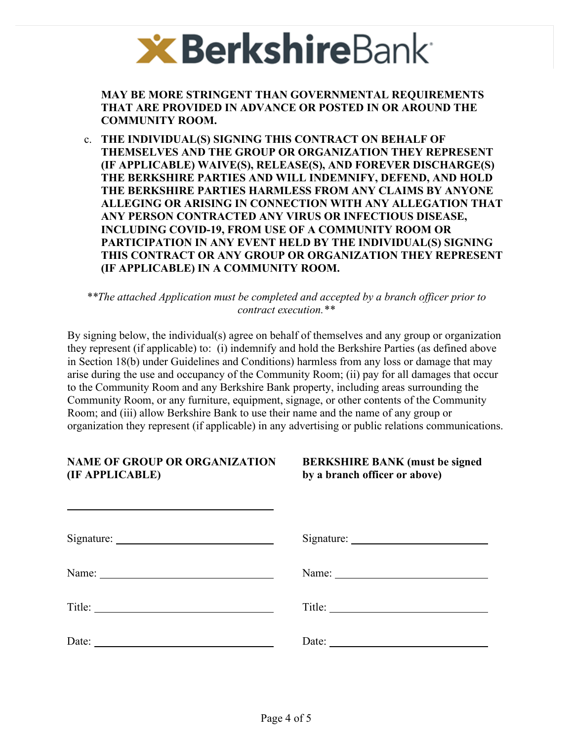

**MAY BE MORE STRINGENT THAN GOVERNMENTAL REQUIREMENTS THAT ARE PROVIDED IN ADVANCE OR POSTED IN OR AROUND THE COMMUNITY ROOM.**

c. **THE INDIVIDUAL(S) SIGNING THIS CONTRACT ON BEHALF OF THEMSELVES AND THE GROUP OR ORGANIZATION THEY REPRESENT (IF APPLICABLE) WAIVE(S), RELEASE(S), AND FOREVER DISCHARGE(S) THE BERKSHIRE PARTIES AND WILL INDEMNIFY, DEFEND, AND HOLD THE BERKSHIRE PARTIES HARMLESS FROM ANY CLAIMS BY ANYONE ALLEGING OR ARISING IN CONNECTION WITH ANY ALLEGATION THAT ANY PERSON CONTRACTED ANY VIRUS OR INFECTIOUS DISEASE, INCLUDING COVID-19, FROM USE OF A COMMUNITY ROOM OR PARTICIPATION IN ANY EVENT HELD BY THE INDIVIDUAL(S) SIGNING THIS CONTRACT OR ANY GROUP OR ORGANIZATION THEY REPRESENT (IF APPLICABLE) IN A COMMUNITY ROOM.**

*\*\*The attached Application must be completed and accepted by a branch officer prior to contract execution.\*\** 

By signing below, the individual(s) agree on behalf of themselves and any group or organization they represent (if applicable) to: (i) indemnify and hold the Berkshire Parties (as defined above in Section 18(b) under Guidelines and Conditions) harmless from any loss or damage that may arise during the use and occupancy of the Community Room; (ii) pay for all damages that occur to the Community Room and any Berkshire Bank property, including areas surrounding the Community Room, or any furniture, equipment, signage, or other contents of the Community Room; and (iii) allow Berkshire Bank to use their name and the name of any group or organization they represent (if applicable) in any advertising or public relations communications.

## **NAME OF GROUP OR ORGANIZATION (IF APPLICABLE)**

**BERKSHIRE BANK (must be signed by a branch officer or above)** 

|                                                              | Title:                |
|--------------------------------------------------------------|-----------------------|
| Date:<br><u> 1980 - Andrea Station Barbara, amerikan per</u> | Date: $\qquad \qquad$ |